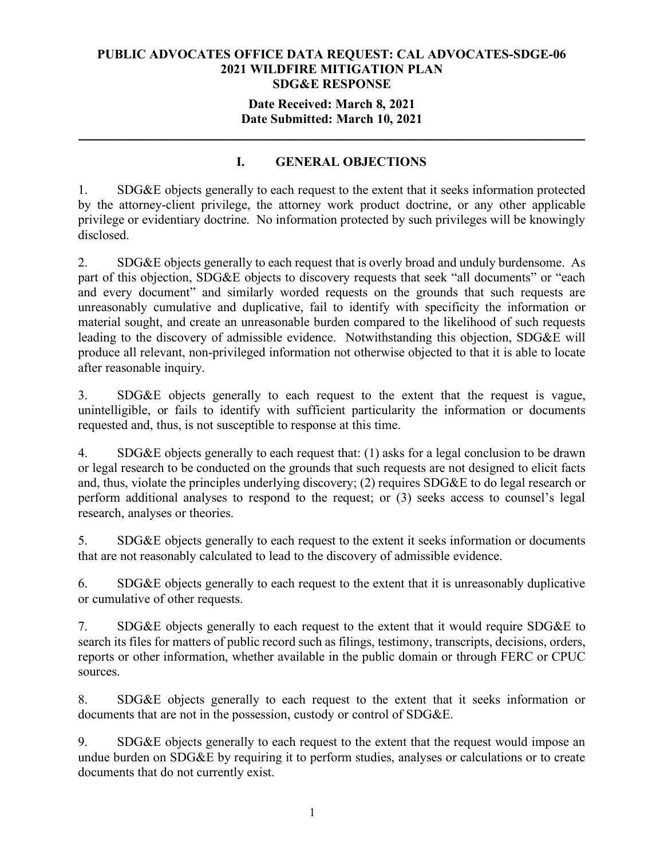#### **Date Received: March 8, 2021 Date Submitted: March 10, 2021**

**\_\_\_\_\_\_\_\_\_\_\_\_\_\_\_\_\_\_\_\_\_\_\_\_\_\_\_\_\_\_\_\_\_\_\_\_\_\_\_\_\_\_\_\_\_\_\_\_\_\_\_\_\_\_\_\_\_\_\_\_\_\_\_\_\_\_\_\_\_\_**

# **I. GENERAL OBJECTIONS**

1. SDG&E objects generally to each request to the extent that it seeks information protected by the attorney-client privilege, the attorney work product doctrine, or any other applicable privilege or evidentiary doctrine. No information protected by such privileges will be knowingly disclosed.

2. SDG&E objects generally to each request that is overly broad and unduly burdensome. As part of this objection, SDG&E objects to discovery requests that seek "all documents" or "each and every document" and similarly worded requests on the grounds that such requests are unreasonably cumulative and duplicative, fail to identify with specificity the information or material sought, and create an unreasonable burden compared to the likelihood of such requests leading to the discovery of admissible evidence. Notwithstanding this objection, SDG&E will produce all relevant, non-privileged information not otherwise objected to that it is able to locate after reasonable inquiry.

3. SDG&E objects generally to each request to the extent that the request is vague, unintelligible, or fails to identify with sufficient particularity the information or documents requested and, thus, is not susceptible to response at this time.

4. SDG&E objects generally to each request that: (1) asks for a legal conclusion to be drawn or legal research to be conducted on the grounds that such requests are not designed to elicit facts and, thus, violate the principles underlying discovery; (2) requires SDG&E to do legal research or perform additional analyses to respond to the request; or (3) seeks access to counsel's legal research, analyses or theories.

5. SDG&E objects generally to each request to the extent it seeks information or documents that are not reasonably calculated to lead to the discovery of admissible evidence.

6. SDG&E objects generally to each request to the extent that it is unreasonably duplicative or cumulative of other requests.

7. SDG&E objects generally to each request to the extent that it would require SDG&E to search its files for matters of public record such as filings, testimony, transcripts, decisions, orders, reports or other information, whether available in the public domain or through FERC or CPUC sources.

8. SDG&E objects generally to each request to the extent that it seeks information or documents that are not in the possession, custody or control of SDG&E.

9. SDG&E objects generally to each request to the extent that the request would impose an undue burden on SDG&E by requiring it to perform studies, analyses or calculations or to create documents that do not currently exist.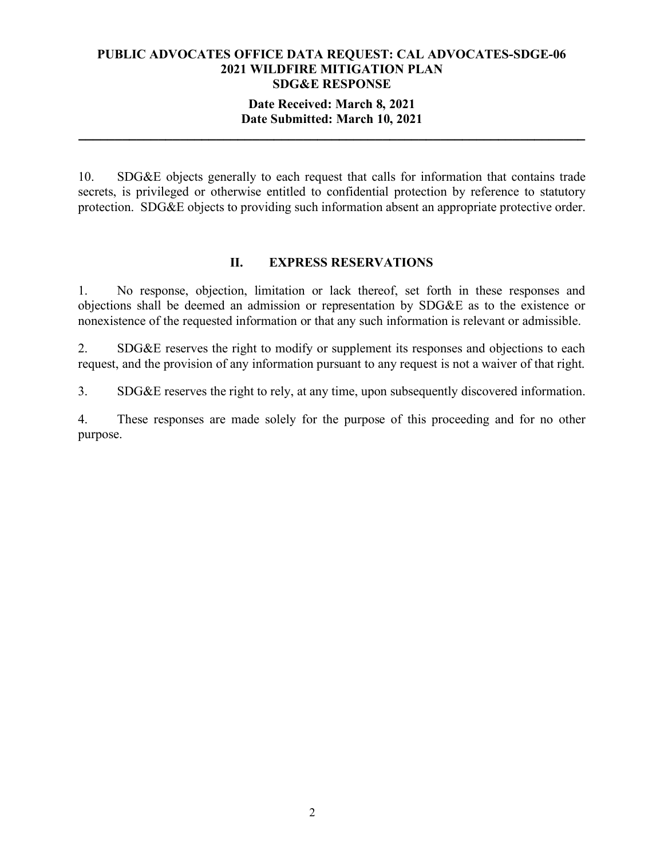### **Date Received: March 8, 2021 Date Submitted: March 10, 2021**

**\_\_\_\_\_\_\_\_\_\_\_\_\_\_\_\_\_\_\_\_\_\_\_\_\_\_\_\_\_\_\_\_\_\_\_\_\_\_\_\_\_\_\_\_\_\_\_\_\_\_\_\_\_\_\_\_\_\_\_\_\_\_\_\_\_\_\_\_\_\_**

10. SDG&E objects generally to each request that calls for information that contains trade secrets, is privileged or otherwise entitled to confidential protection by reference to statutory protection. SDG&E objects to providing such information absent an appropriate protective order.

#### **II. EXPRESS RESERVATIONS**

1. No response, objection, limitation or lack thereof, set forth in these responses and objections shall be deemed an admission or representation by SDG&E as to the existence or nonexistence of the requested information or that any such information is relevant or admissible.

2. SDG&E reserves the right to modify or supplement its responses and objections to each request, and the provision of any information pursuant to any request is not a waiver of that right.

3. SDG&E reserves the right to rely, at any time, upon subsequently discovered information.

4. These responses are made solely for the purpose of this proceeding and for no other purpose.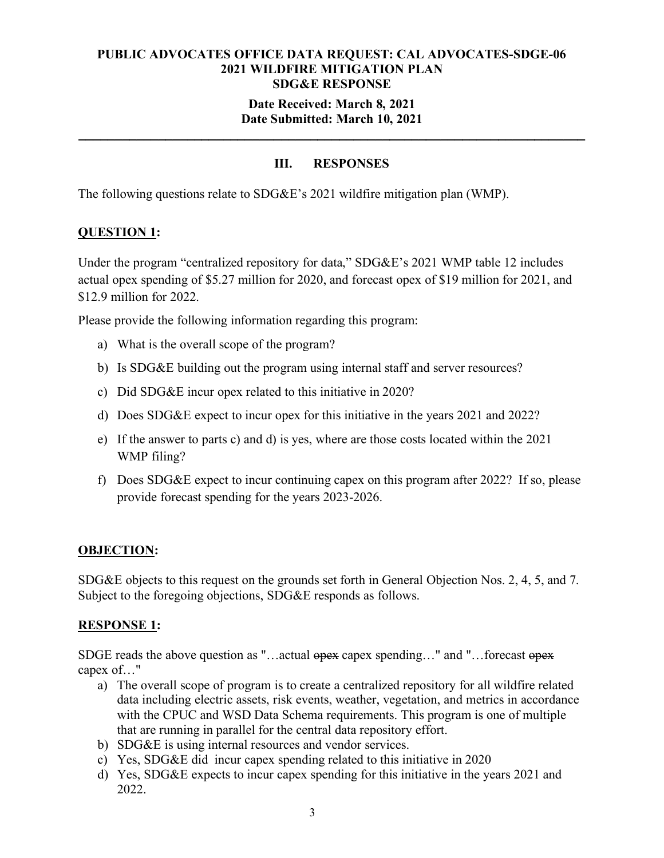## **Date Received: March 8, 2021 Date Submitted: March 10, 2021**

**\_\_\_\_\_\_\_\_\_\_\_\_\_\_\_\_\_\_\_\_\_\_\_\_\_\_\_\_\_\_\_\_\_\_\_\_\_\_\_\_\_\_\_\_\_\_\_\_\_\_\_\_\_\_\_\_\_\_\_\_\_\_\_\_\_\_\_\_\_\_**

# **III. RESPONSES**

The following questions relate to SDG&E's 2021 wildfire mitigation plan (WMP).

# **QUESTION 1:**

Under the program "centralized repository for data," SDG&E's 2021 WMP table 12 includes actual opex spending of \$5.27 million for 2020, and forecast opex of \$19 million for 2021, and \$12.9 million for 2022.

Please provide the following information regarding this program:

- a) What is the overall scope of the program?
- b) Is SDG&E building out the program using internal staff and server resources?
- c) Did SDG&E incur opex related to this initiative in 2020?
- d) Does SDG&E expect to incur opex for this initiative in the years 2021 and 2022?
- e) If the answer to parts c) and d) is yes, where are those costs located within the 2021 WMP filing?
- f) Does SDG&E expect to incur continuing capex on this program after 2022? If so, please provide forecast spending for the years 2023-2026.

#### **OBJECTION:**

SDG&E objects to this request on the grounds set forth in General Objection Nos. 2, 4, 5, and 7. Subject to the foregoing objections, SDG&E responds as follows.

## **RESPONSE 1:**

SDGE reads the above question as "…actual opex capex spending…" and "…forecast opex capex of…"

- a) The overall scope of program is to create a centralized repository for all wildfire related data including electric assets, risk events, weather, vegetation, and metrics in accordance with the CPUC and WSD Data Schema requirements. This program is one of multiple that are running in parallel for the central data repository effort.
- b) SDG&E is using internal resources and vendor services.
- c) Yes, SDG&E did incur capex spending related to this initiative in 2020
- d) Yes, SDG&E expects to incur capex spending for this initiative in the years 2021 and 2022.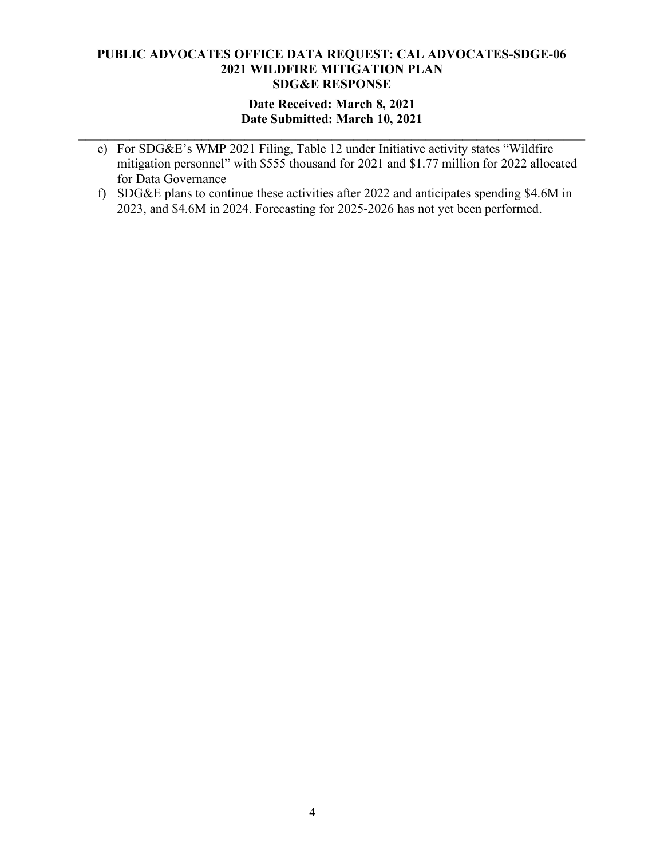## **Date Received: March 8, 2021 Date Submitted: March 10, 2021**

**\_\_\_\_\_\_\_\_\_\_\_\_\_\_\_\_\_\_\_\_\_\_\_\_\_\_\_\_\_\_\_\_\_\_\_\_\_\_\_\_\_\_\_\_\_\_\_\_\_\_\_\_\_\_\_\_\_\_\_\_\_\_\_\_\_\_\_\_\_\_**

- e) For SDG&E's WMP 2021 Filing, Table 12 under Initiative activity states "Wildfire mitigation personnel" with \$555 thousand for 2021 and \$1.77 million for 2022 allocated for Data Governance
- f) SDG&E plans to continue these activities after 2022 and anticipates spending \$4.6M in 2023, and \$4.6M in 2024. Forecasting for 2025-2026 has not yet been performed.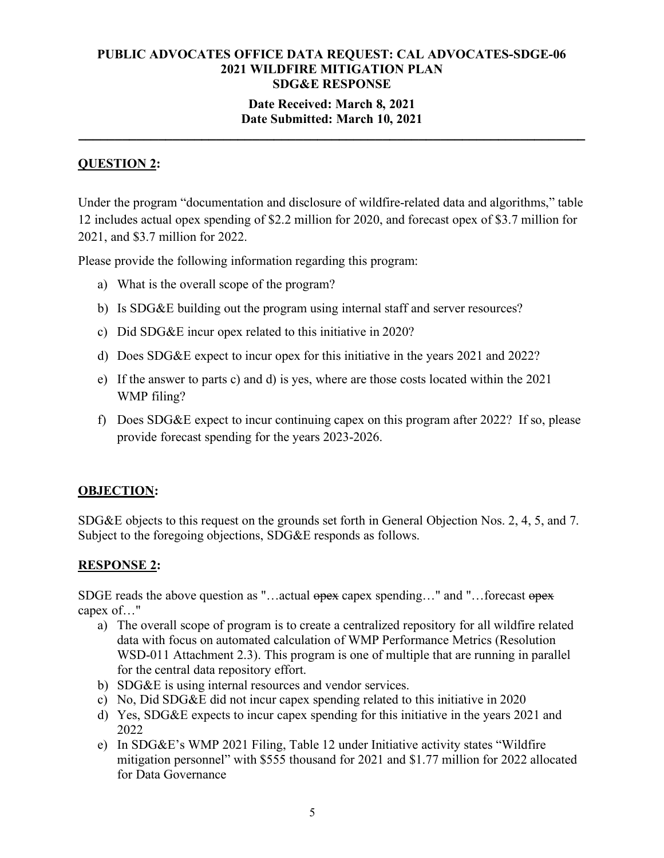### **Date Received: March 8, 2021 Date Submitted: March 10, 2021**

**\_\_\_\_\_\_\_\_\_\_\_\_\_\_\_\_\_\_\_\_\_\_\_\_\_\_\_\_\_\_\_\_\_\_\_\_\_\_\_\_\_\_\_\_\_\_\_\_\_\_\_\_\_\_\_\_\_\_\_\_\_\_\_\_\_\_\_\_\_\_**

# **QUESTION 2:**

Under the program "documentation and disclosure of wildfire-related data and algorithms," table 12 includes actual opex spending of \$2.2 million for 2020, and forecast opex of \$3.7 million for 2021, and \$3.7 million for 2022.

Please provide the following information regarding this program:

- a) What is the overall scope of the program?
- b) Is SDG&E building out the program using internal staff and server resources?
- c) Did SDG&E incur opex related to this initiative in 2020?
- d) Does SDG&E expect to incur opex for this initiative in the years 2021 and 2022?
- e) If the answer to parts c) and d) is yes, where are those costs located within the 2021 WMP filing?
- f) Does SDG&E expect to incur continuing capex on this program after 2022? If so, please provide forecast spending for the years 2023-2026.

## **OBJECTION:**

SDG&E objects to this request on the grounds set forth in General Objection Nos. 2, 4, 5, and 7. Subject to the foregoing objections, SDG&E responds as follows.

## **RESPONSE 2:**

SDGE reads the above question as "...actual opex capex spending..." and "...forecast opex capex of…"

- a) The overall scope of program is to create a centralized repository for all wildfire related data with focus on automated calculation of WMP Performance Metrics (Resolution WSD-011 Attachment 2.3). This program is one of multiple that are running in parallel for the central data repository effort.
- b) SDG&E is using internal resources and vendor services.
- c) No, Did SDG&E did not incur capex spending related to this initiative in 2020
- d) Yes, SDG&E expects to incur capex spending for this initiative in the years 2021 and 2022
- e) In SDG&E's WMP 2021 Filing, Table 12 under Initiative activity states "Wildfire mitigation personnel" with \$555 thousand for 2021 and \$1.77 million for 2022 allocated for Data Governance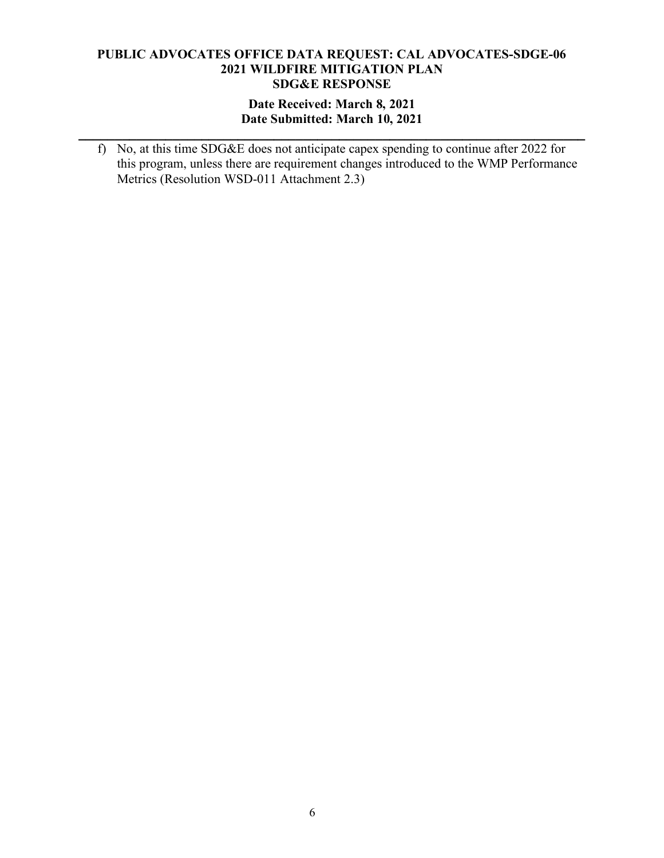### **Date Received: March 8, 2021 Date Submitted: March 10, 2021**

**\_\_\_\_\_\_\_\_\_\_\_\_\_\_\_\_\_\_\_\_\_\_\_\_\_\_\_\_\_\_\_\_\_\_\_\_\_\_\_\_\_\_\_\_\_\_\_\_\_\_\_\_\_\_\_\_\_\_\_\_\_\_\_\_\_\_\_\_\_\_**

f) No, at this time SDG&E does not anticipate capex spending to continue after 2022 for this program, unless there are requirement changes introduced to the WMP Performance Metrics (Resolution WSD-011 Attachment 2.3)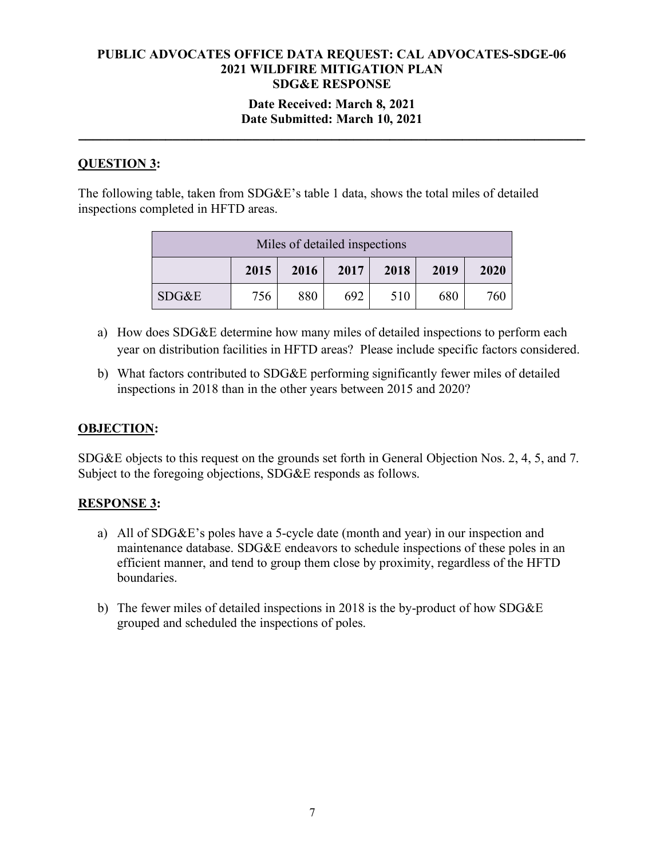### **Date Received: March 8, 2021 Date Submitted: March 10, 2021**

**\_\_\_\_\_\_\_\_\_\_\_\_\_\_\_\_\_\_\_\_\_\_\_\_\_\_\_\_\_\_\_\_\_\_\_\_\_\_\_\_\_\_\_\_\_\_\_\_\_\_\_\_\_\_\_\_\_\_\_\_\_\_\_\_\_\_\_\_\_\_**

# **QUESTION 3:**

The following table, taken from SDG&E's table 1 data, shows the total miles of detailed inspections completed in HFTD areas.

| Miles of detailed inspections        |     |     |     |     |     |      |  |
|--------------------------------------|-----|-----|-----|-----|-----|------|--|
| 2015<br>2017<br>2018<br>2019<br>2016 |     |     |     |     |     | 2020 |  |
| SDG&E                                | 756 | 880 | 692 | 510 | 680 | 760  |  |

- a) How does SDG&E determine how many miles of detailed inspections to perform each year on distribution facilities in HFTD areas? Please include specific factors considered.
- b) What factors contributed to SDG&E performing significantly fewer miles of detailed inspections in 2018 than in the other years between 2015 and 2020?

## **OBJECTION:**

SDG&E objects to this request on the grounds set forth in General Objection Nos. 2, 4, 5, and 7. Subject to the foregoing objections, SDG&E responds as follows.

## **RESPONSE 3:**

- a) All of SDG&E's poles have a 5-cycle date (month and year) in our inspection and maintenance database. SDG&E endeavors to schedule inspections of these poles in an efficient manner, and tend to group them close by proximity, regardless of the HFTD boundaries.
- b) The fewer miles of detailed inspections in 2018 is the by-product of how SDG&E grouped and scheduled the inspections of poles.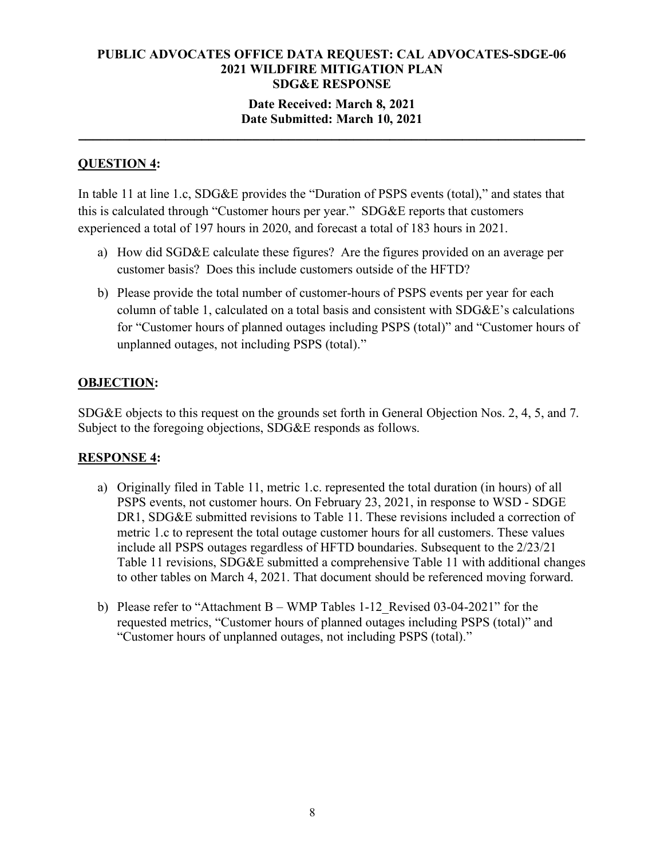### **Date Received: March 8, 2021 Date Submitted: March 10, 2021**

**\_\_\_\_\_\_\_\_\_\_\_\_\_\_\_\_\_\_\_\_\_\_\_\_\_\_\_\_\_\_\_\_\_\_\_\_\_\_\_\_\_\_\_\_\_\_\_\_\_\_\_\_\_\_\_\_\_\_\_\_\_\_\_\_\_\_\_\_\_\_**

## **QUESTION 4:**

In table 11 at line 1.c, SDG&E provides the "Duration of PSPS events (total)," and states that this is calculated through "Customer hours per year." SDG&E reports that customers experienced a total of 197 hours in 2020, and forecast a total of 183 hours in 2021.

- a) How did SGD&E calculate these figures? Are the figures provided on an average per customer basis? Does this include customers outside of the HFTD?
- b) Please provide the total number of customer-hours of PSPS events per year for each column of table 1, calculated on a total basis and consistent with SDG&E's calculations for "Customer hours of planned outages including PSPS (total)" and "Customer hours of unplanned outages, not including PSPS (total)."

## **OBJECTION:**

SDG&E objects to this request on the grounds set forth in General Objection Nos. 2, 4, 5, and 7. Subject to the foregoing objections, SDG&E responds as follows.

## **RESPONSE 4:**

- a) Originally filed in Table 11, metric 1.c. represented the total duration (in hours) of all PSPS events, not customer hours. On February 23, 2021, in response to WSD - SDGE DR1, SDG&E submitted revisions to Table 11. These revisions included a correction of metric 1.c to represent the total outage customer hours for all customers. These values include all PSPS outages regardless of HFTD boundaries. Subsequent to the 2/23/21 Table 11 revisions, SDG&E submitted a comprehensive Table 11 with additional changes to other tables on March 4, 2021. That document should be referenced moving forward.
- b) Please refer to "Attachment B WMP Tables 1-12\_Revised 03-04-2021" for the requested metrics, "Customer hours of planned outages including PSPS (total)" and "Customer hours of unplanned outages, not including PSPS (total)."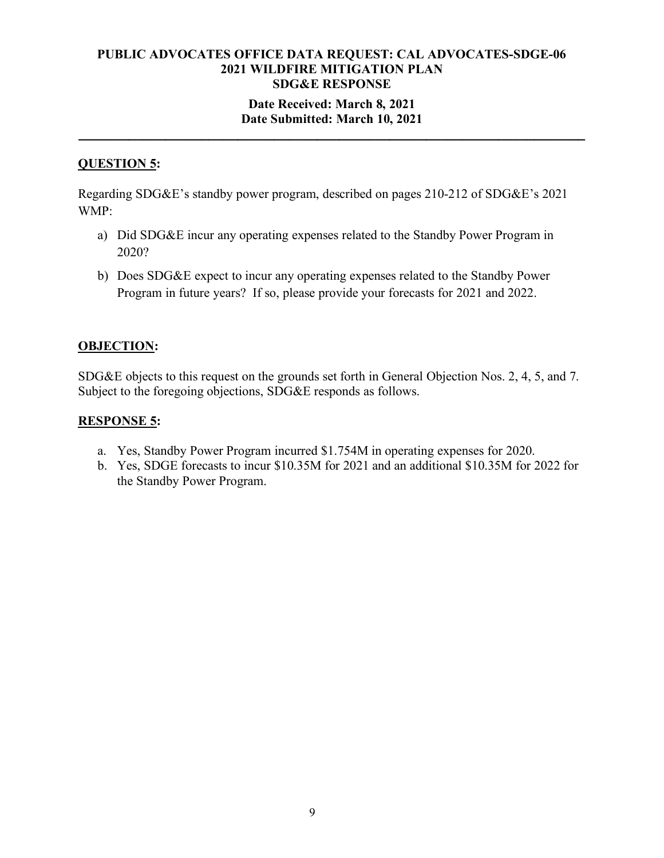### **Date Received: March 8, 2021 Date Submitted: March 10, 2021**

**\_\_\_\_\_\_\_\_\_\_\_\_\_\_\_\_\_\_\_\_\_\_\_\_\_\_\_\_\_\_\_\_\_\_\_\_\_\_\_\_\_\_\_\_\_\_\_\_\_\_\_\_\_\_\_\_\_\_\_\_\_\_\_\_\_\_\_\_\_\_**

### **QUESTION 5:**

Regarding SDG&E's standby power program, described on pages 210-212 of SDG&E's 2021 WMP:

- a) Did SDG&E incur any operating expenses related to the Standby Power Program in 2020?
- b) Does SDG&E expect to incur any operating expenses related to the Standby Power Program in future years? If so, please provide your forecasts for 2021 and 2022.

#### **OBJECTION:**

SDG&E objects to this request on the grounds set forth in General Objection Nos. 2, 4, 5, and 7. Subject to the foregoing objections, SDG&E responds as follows.

#### **RESPONSE 5:**

- a. Yes, Standby Power Program incurred \$1.754M in operating expenses for 2020.
- b. Yes, SDGE forecasts to incur \$10.35M for 2021 and an additional \$10.35M for 2022 for the Standby Power Program.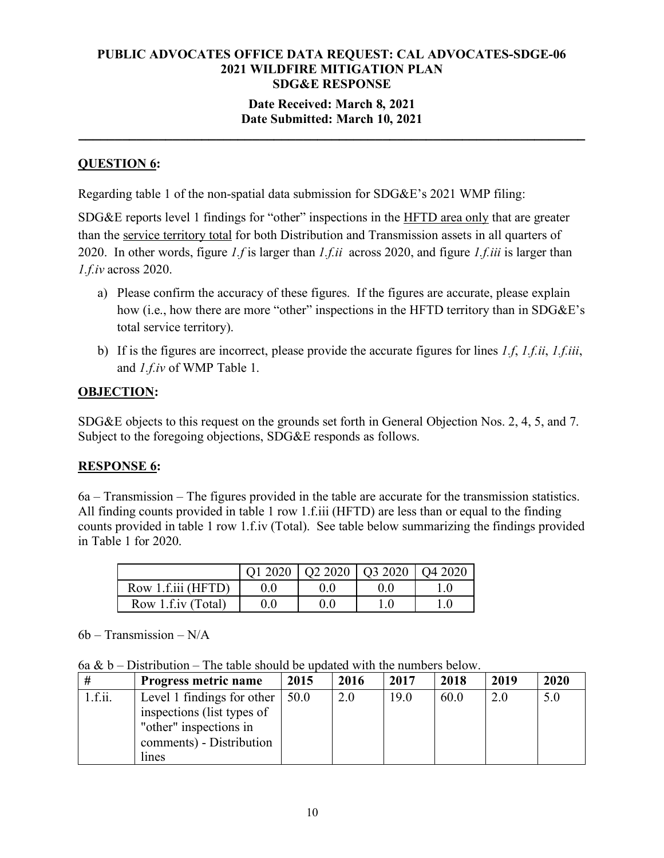### **Date Received: March 8, 2021 Date Submitted: March 10, 2021**

**\_\_\_\_\_\_\_\_\_\_\_\_\_\_\_\_\_\_\_\_\_\_\_\_\_\_\_\_\_\_\_\_\_\_\_\_\_\_\_\_\_\_\_\_\_\_\_\_\_\_\_\_\_\_\_\_\_\_\_\_\_\_\_\_\_\_\_\_\_\_**

## **QUESTION 6:**

Regarding table 1 of the non-spatial data submission for SDG&E's 2021 WMP filing:

SDG&E reports level 1 findings for "other" inspections in the HFTD area only that are greater than the service territory total for both Distribution and Transmission assets in all quarters of 2020. In other words, figure *1.f* is larger than *1.f.ii* across 2020, and figure *1.f.iii* is larger than *1.f.iv* across 2020.

- a) Please confirm the accuracy of these figures. If the figures are accurate, please explain how (i.e., how there are more "other" inspections in the HFTD territory than in SDG&E's total service territory).
- b) If is the figures are incorrect, please provide the accurate figures for lines *1.f*, *1.f.ii*, *1.f.iii*, and *1.f.iv* of WMP Table 1.

#### **OBJECTION:**

SDG&E objects to this request on the grounds set forth in General Objection Nos. 2, 4, 5, and 7. Subject to the foregoing objections, SDG&E responds as follows.

## **RESPONSE 6:**

6a – Transmission – The figures provided in the table are accurate for the transmission statistics. All finding counts provided in table 1 row 1.f.iii (HFTD) are less than or equal to the finding counts provided in table 1 row 1.f.iv (Total). See table below summarizing the findings provided in Table 1 for 2020.

|                      |                  | 01 2020   02 2020   03 2020   04 2020 |  |
|----------------------|------------------|---------------------------------------|--|
| Row 1.f.iii (HFTD)   | $\left( \right)$ |                                       |  |
| Row 1.f.iv $(Total)$ | 0.0              |                                       |  |

 $6b - Transmission - N/A$ 

6a &  $b$  – Distribution – The table should be updated with the numbers below.

| #       | Progress metric name       | 2015 | 2016 | 2017 | 2018 | 2019 | 2020 |
|---------|----------------------------|------|------|------|------|------|------|
| 1.f.ii. | Level 1 findings for other | 50.0 | 2.0  | 19.0 | 60.0 | 2.0  | 5.0  |
|         | inspections (list types of |      |      |      |      |      |      |
|         | "other" inspections in     |      |      |      |      |      |      |
|         | comments) - Distribution   |      |      |      |      |      |      |
|         | lines                      |      |      |      |      |      |      |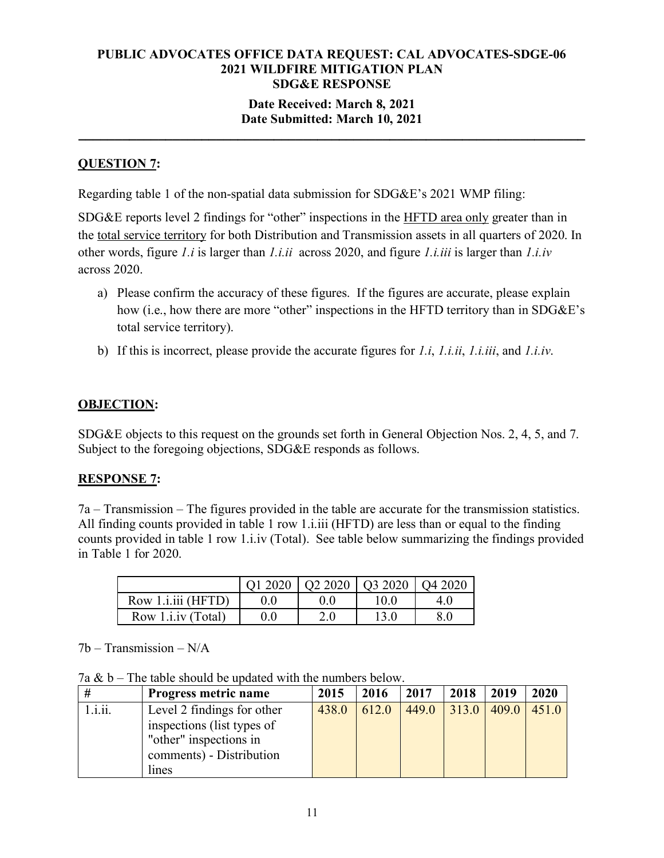### **Date Received: March 8, 2021 Date Submitted: March 10, 2021**

**\_\_\_\_\_\_\_\_\_\_\_\_\_\_\_\_\_\_\_\_\_\_\_\_\_\_\_\_\_\_\_\_\_\_\_\_\_\_\_\_\_\_\_\_\_\_\_\_\_\_\_\_\_\_\_\_\_\_\_\_\_\_\_\_\_\_\_\_\_\_**

# **QUESTION 7:**

Regarding table 1 of the non-spatial data submission for SDG&E's 2021 WMP filing:

SDG&E reports level 2 findings for "other" inspections in the HFTD area only greater than in the total service territory for both Distribution and Transmission assets in all quarters of 2020. In other words, figure *1.i* is larger than *1.i.ii* across 2020, and figure *1.i.iii* is larger than *1.i.iv*  across 2020.

- a) Please confirm the accuracy of these figures. If the figures are accurate, please explain how (i.e., how there are more "other" inspections in the HFTD territory than in SDG&E's total service territory).
- b) If this is incorrect, please provide the accurate figures for *1.i*, *1.i.ii*, *1.i.iii*, and *1.i.iv*.

## **OBJECTION:**

SDG&E objects to this request on the grounds set forth in General Objection Nos. 2, 4, 5, and 7. Subject to the foregoing objections, SDG&E responds as follows.

## **RESPONSE 7:**

7a – Transmission – The figures provided in the table are accurate for the transmission statistics. All finding counts provided in table 1 row 1.i.iii (HFTD) are less than or equal to the finding counts provided in table 1 row 1.i.iv (Total). See table below summarizing the findings provided in Table 1 for 2020.

|                            | $\vert$ Q1 2020 $\vert$ Q2 2020 $\vert$ Q3 2020 $\vert$ Q4 2020 |     |      |  |
|----------------------------|-----------------------------------------------------------------|-----|------|--|
| Row 1. <i>i.iii</i> (HFTD) |                                                                 |     | 10.0 |  |
| Row 1. <i>i.iv</i> (Total) |                                                                 | 2.0 |      |  |

 $7b - Transmission - N/A$ 

7a  $\& b$  – The table should be updated with the numbers below.

| #       | Progress metric name       | 2015  | 2016  | 2017  | 2018  | 2019  | 2020  |
|---------|----------------------------|-------|-------|-------|-------|-------|-------|
| 1.1.11. | Level 2 findings for other | 438.0 | 612.0 | 449.0 | 313.0 | 409.0 | 451.0 |
|         | inspections (list types of |       |       |       |       |       |       |
|         | "other" inspections in     |       |       |       |       |       |       |
|         | comments) - Distribution   |       |       |       |       |       |       |
|         | lines                      |       |       |       |       |       |       |